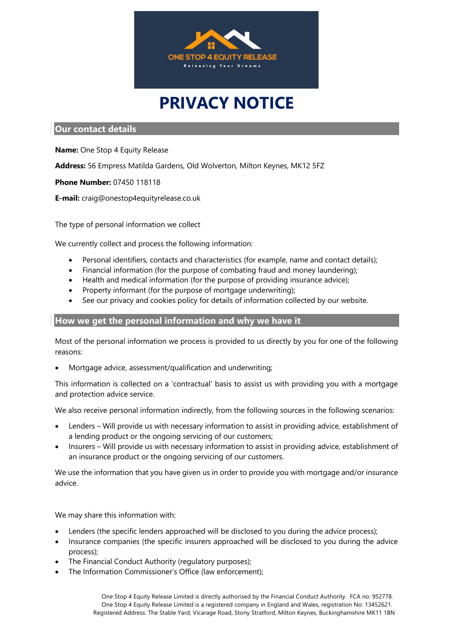

# **PRIVACY NOTICE**

## **Our contact details**

**Name:** One Stop 4 Equity Release

**Address:** 56 Empress Matilda Gardens, Old Wolverton, Milton Keynes, MK12 5FZ

**Phone Number:** 07450 118118

**E-mail:** craig@onestop4equityrelease.co.uk

The type of personal information we collect

We currently collect and process the following information:

- Personal identifiers, contacts and characteristics (for example, name and contact details);
- Financial information (for the purpose of combating fraud and money laundering);
- Health and medical information (for the purpose of providing insurance advice);
- Property informant (for the purpose of mortgage underwriting);
- See our privacy and cookies policy for details of information collected by our website.

## **How we get the personal information and why we have it**

Most of the personal information we process is provided to us directly by you for one of the following reasons:

• Mortgage advice, assessment/qualification and underwriting;

This information is collected on a 'contractual' basis to assist us with providing you with a mortgage and protection advice service.

We also receive personal information indirectly, from the following sources in the following scenarios:

- Lenders Will provide us with necessary information to assist in providing advice, establishment of a lending product or the ongoing servicing of our customers;
- Insurers Will provide us with necessary information to assist in providing advice, establishment of an insurance product or the ongoing servicing of our customers.

We use the information that you have given us in order to provide you with mortgage and/or insurance advice.

We may share this information with:

- Lenders (the specific lenders approached will be disclosed to you during the advice process);
- Insurance companies (the specific insurers approached will be disclosed to you during the advice process);
- The Financial Conduct Authority (regulatory purposes);
- The Information Commissioner's Office (law enforcement);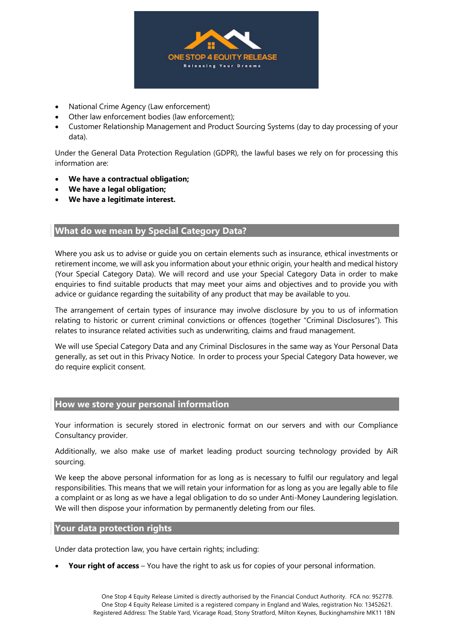

- National Crime Agency (Law enforcement)
- Other law enforcement bodies (law enforcement);
- Customer Relationship Management and Product Sourcing Systems (day to day processing of your data).

Under the General Data Protection Regulation (GDPR), the lawful bases we rely on for processing this information are:

- **We have a contractual obligation;**
- **We have a legal obligation;**
- **We have a legitimate interest.**

## **What do we mean by Special Category Data?**

Where you ask us to advise or guide you on certain elements such as insurance, ethical investments or retirement income, we will ask you information about your ethnic origin, your health and medical history (Your Special Category Data). We will record and use your Special Category Data in order to make enquiries to find suitable products that may meet your aims and objectives and to provide you with advice or guidance regarding the suitability of any product that may be available to you.

The arrangement of certain types of insurance may involve disclosure by you to us of information relating to historic or current criminal convictions or offences (together "Criminal Disclosures"). This relates to insurance related activities such as underwriting, claims and fraud management.

We will use Special Category Data and any Criminal Disclosures in the same way as Your Personal Data generally, as set out in this Privacy Notice. In order to process your Special Category Data however, we do require explicit consent.

#### **How we store your personal information**

Your information is securely stored in electronic format on our servers and with our Compliance Consultancy provider.

Additionally, we also make use of market leading product sourcing technology provided by AiR sourcing.

We keep the above personal information for as long as is necessary to fulfil our regulatory and legal responsibilities. This means that we will retain your information for as long as you are legally able to file a complaint or as long as we have a legal obligation to do so under Anti-Money Laundering legislation. We will then dispose your information by permanently deleting from our files.

#### **Your data protection rights**

Under data protection law, you have certain rights; including:

• **Your right of access** – You have the right to ask us for copies of your personal information.